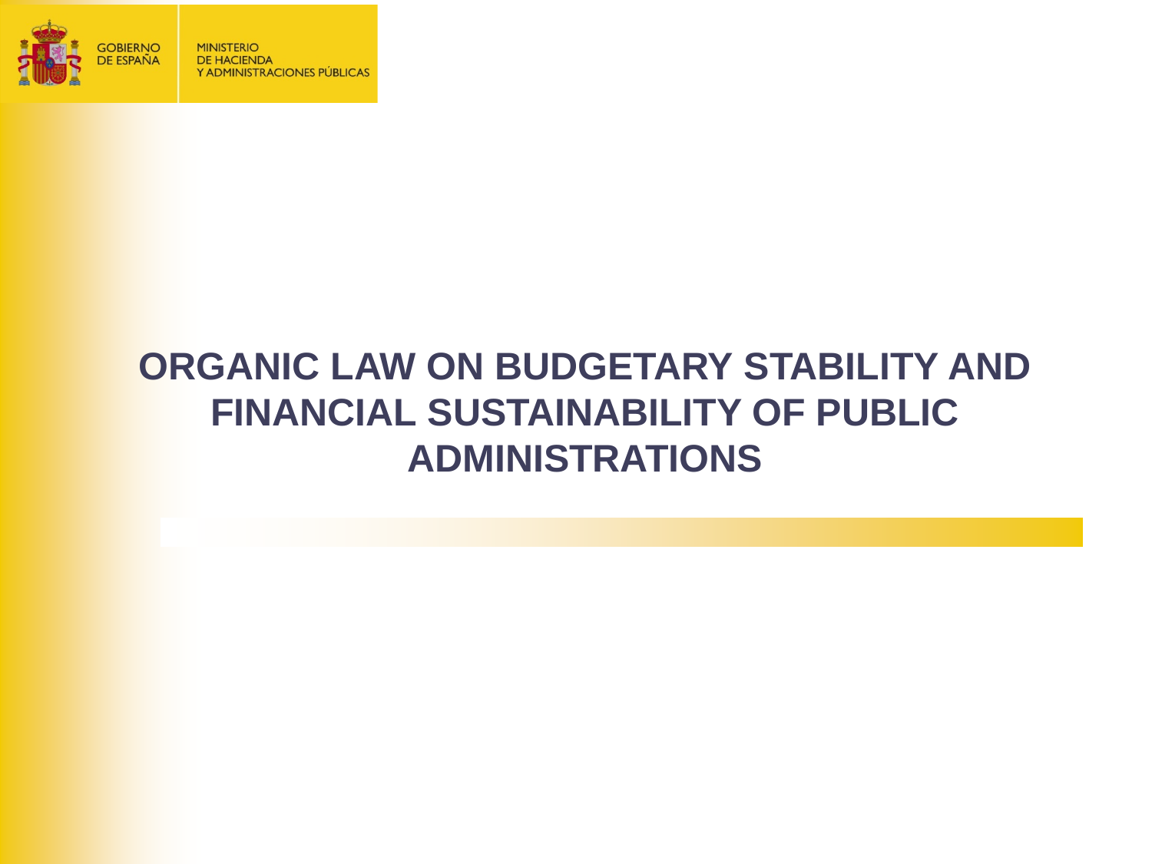

## **ORGANIC LAW ON BUDGETARY STABILITY AND FINANCIAL SUSTAINABILITY OF PUBLIC ADMINISTRATIONS**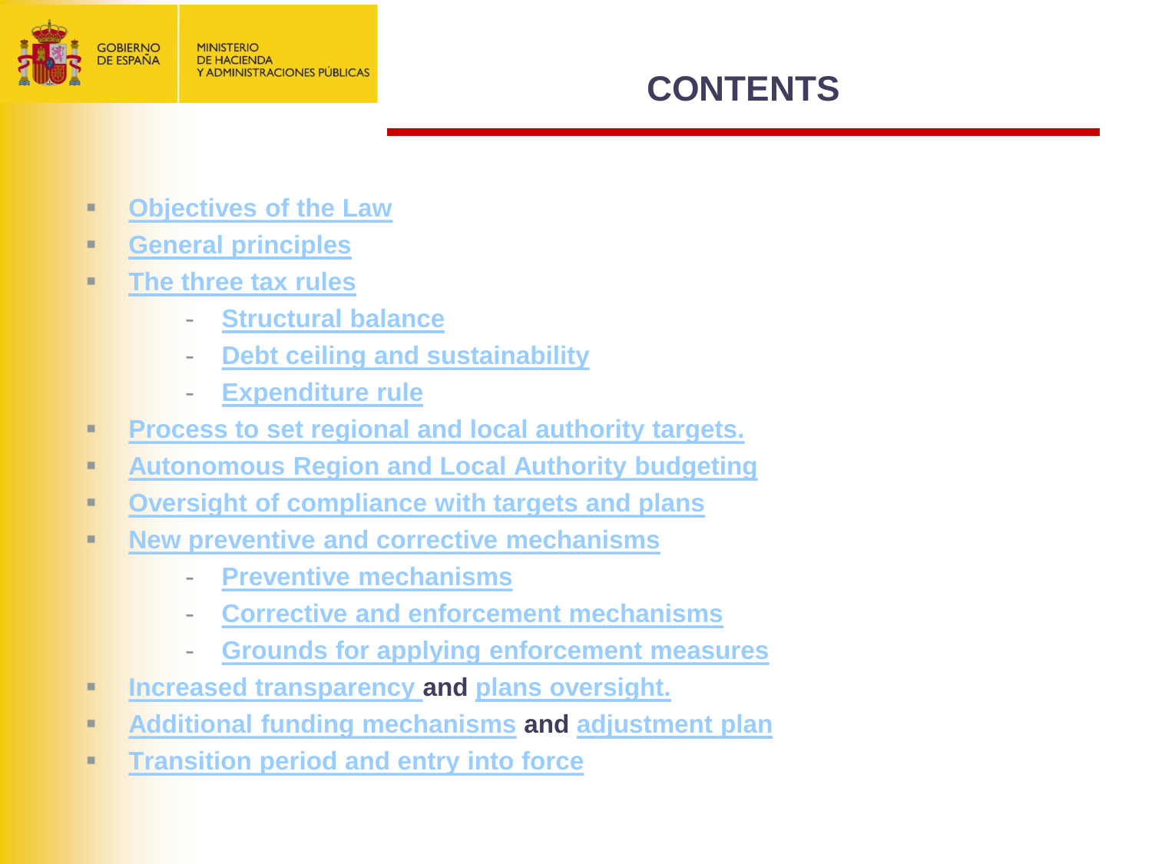

### **CONTENTS**

- **[Objectives of the Law](#page-2-0)**
- **[General principles](#page-3-0)**
- **[The three tax rules](#page-4-0)**
	- **[Structural balance](#page-5-0)**
	- **[Debt ceiling and sustainability](#page-6-0)**
	- **[Expenditure rule](#page-7-0)**
- **[Process to set regional and local authority targets.](#page-8-0)**
- **[Autonomous Region and Local Authority budgeting](#page-10-0)**
- **[Oversight of compliance with targets and plans](#page-11-0)**
- **[New preventive and corrective mechanisms](#page-12-0)**
	- **[Preventive mechanisms](#page-14-0)**
	- **[Corrective and enforcement mechanisms](#page-16-0)**
	- **[Grounds for applying enforcement measures](#page-19-0)**
- **[Increased transparency](#page-20-0) and [plans oversight.](#page-21-0)**
- **[Additional funding mechanisms](#page-22-0) and [adjustment plan](#page-23-0)**
- **[Transition period and entry into force](#page-24-0)**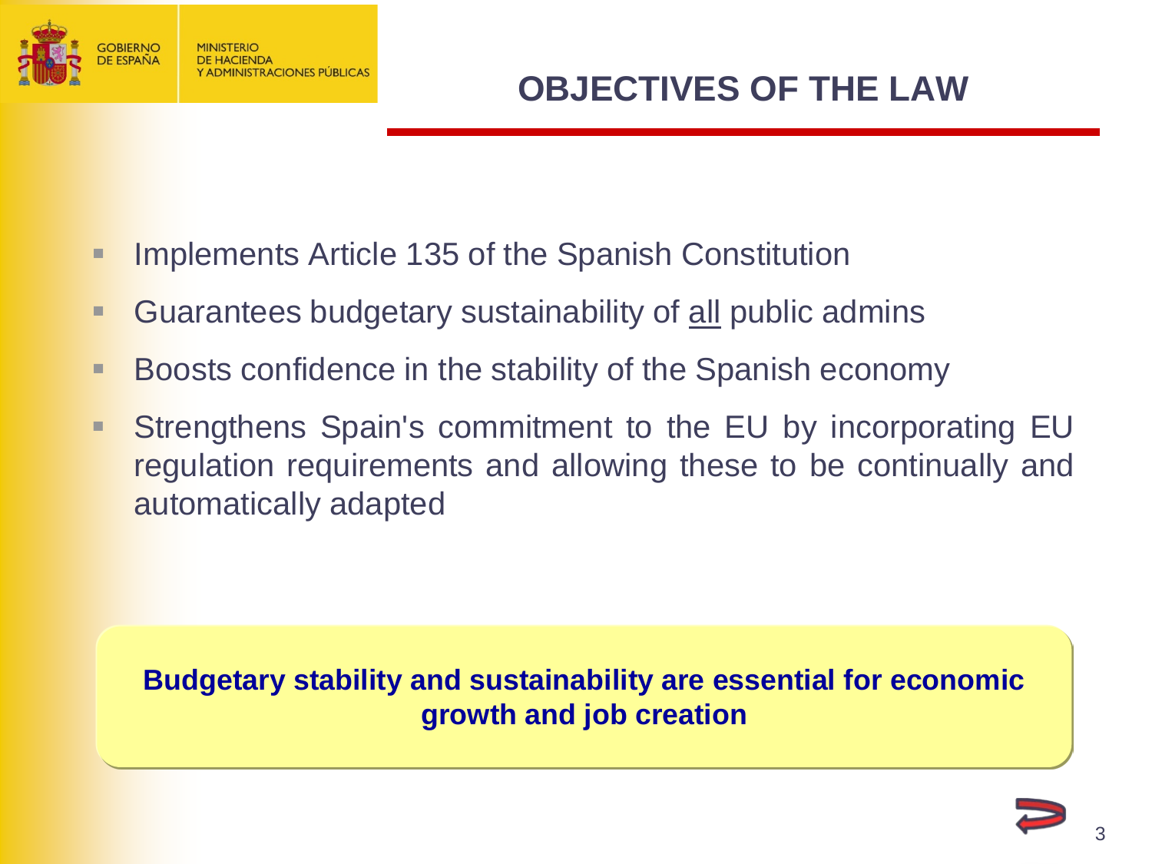<span id="page-2-0"></span>

- **Implements Article 135 of the Spanish Constitution**
- **Guarantees budgetary sustainability of all public admins**
- Boosts confidence in the stability of the Spanish economy
- **Strengthens Spain's commitment to the EU by incorporating EU** regulation requirements and allowing these to be continually and automatically adapted

**Budgetary stability and sustainability are essential for economic growth and job creation**

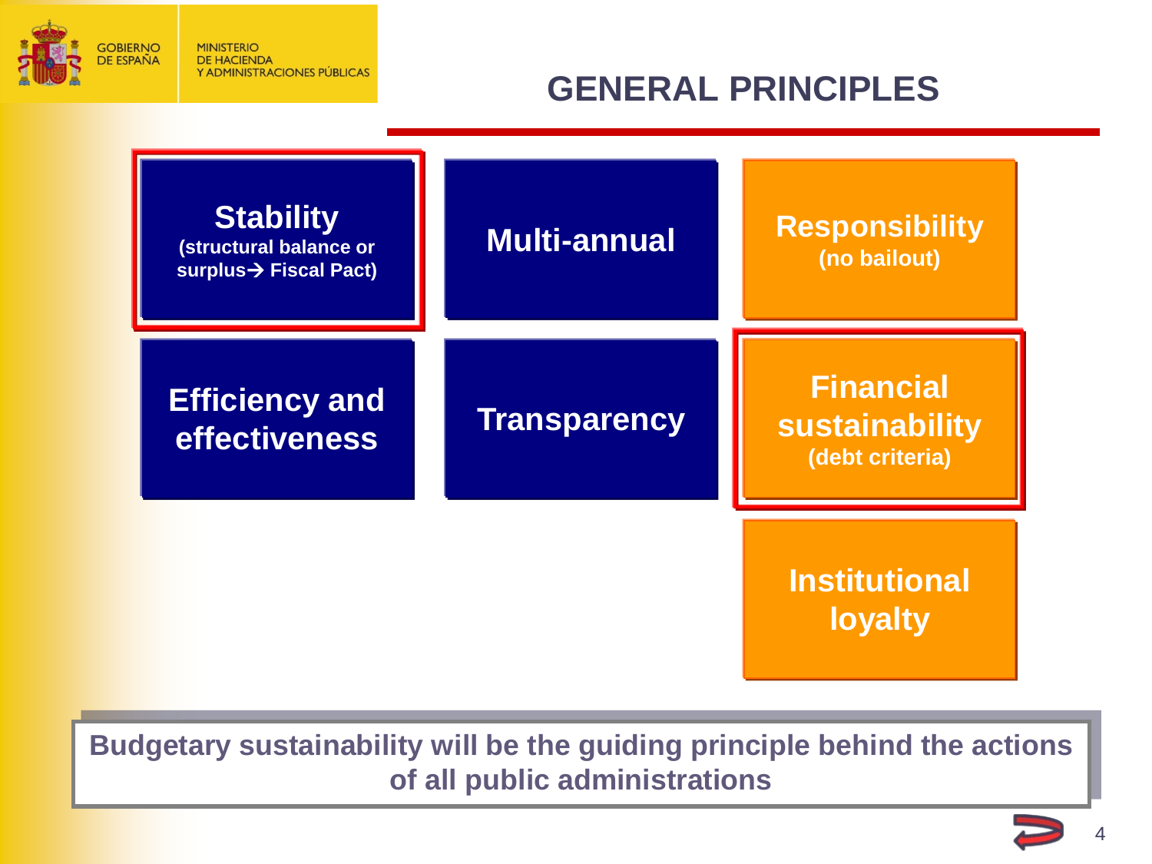<span id="page-3-0"></span>

## **GENERAL PRINCIPLES**



**Budgetary sustainability will be the guiding principle behind the actions of all public administrations**

4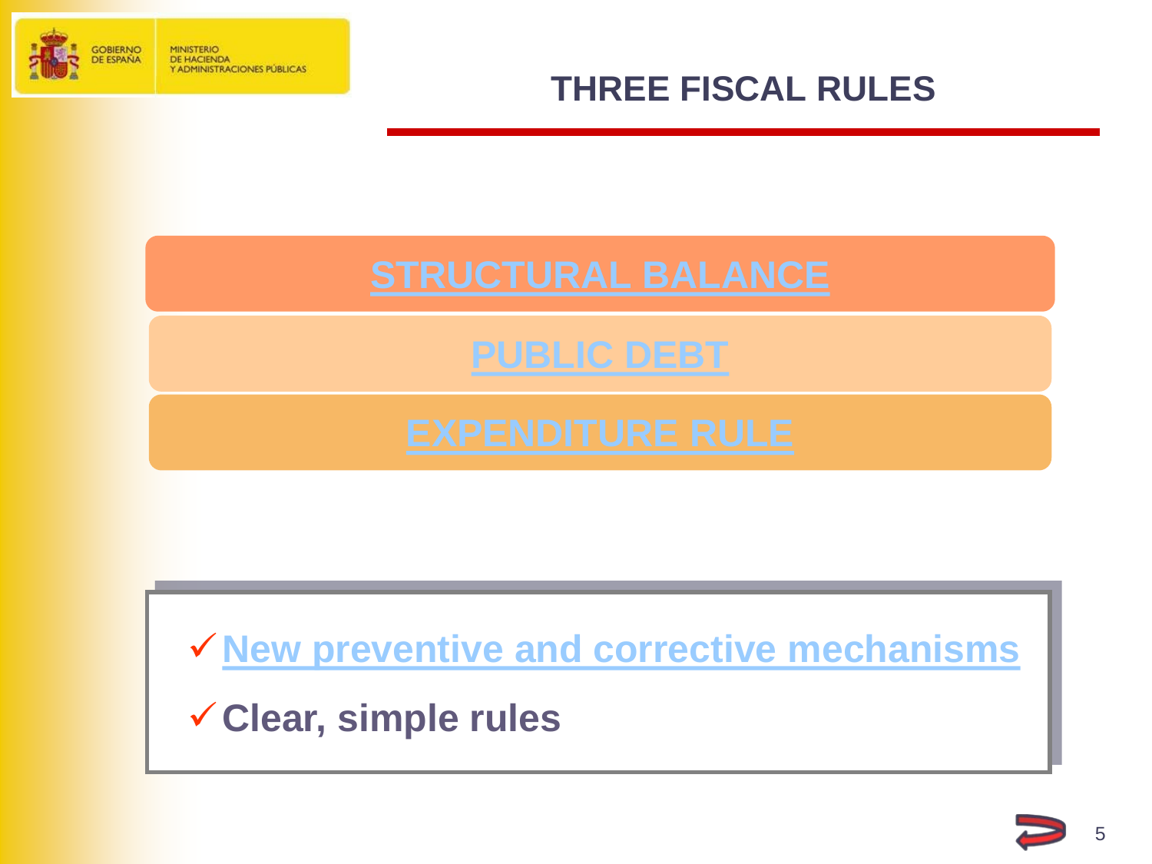<span id="page-4-0"></span>

#### **THREE FISCAL RULES**

**[New preventive and corrective mechanisms](#page-12-0)**

**Clear, simple rules**

5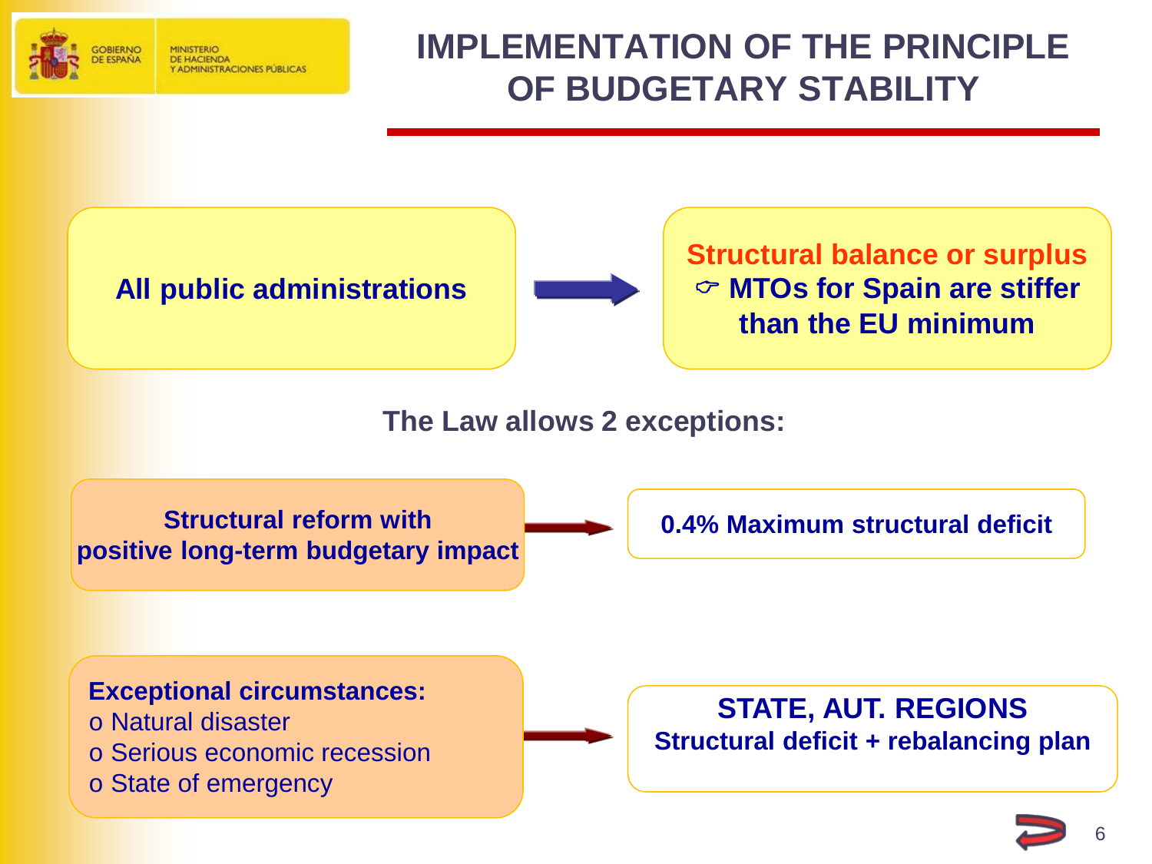<span id="page-5-0"></span>

#### **ADMINISTRACIONES PUBLICAS**

## **IMPLEMENTATION OF THE PRINCIPLE OF BUDGETARY STABILITY**

**All public administrations**



**Structural balance or surplus MTOs for Spain are stiffer than the EU minimum**

**The Law allows 2 exceptions:**

**Structural reform with positive long-term budgetary impact**

**0.4% Maximum structural deficit**

#### **Exceptional circumstances:**

- o Natural disaster
- o Serious economic recession
- o State of emergency

**STATE, AUT. REGIONS Structural deficit + rebalancing plan**

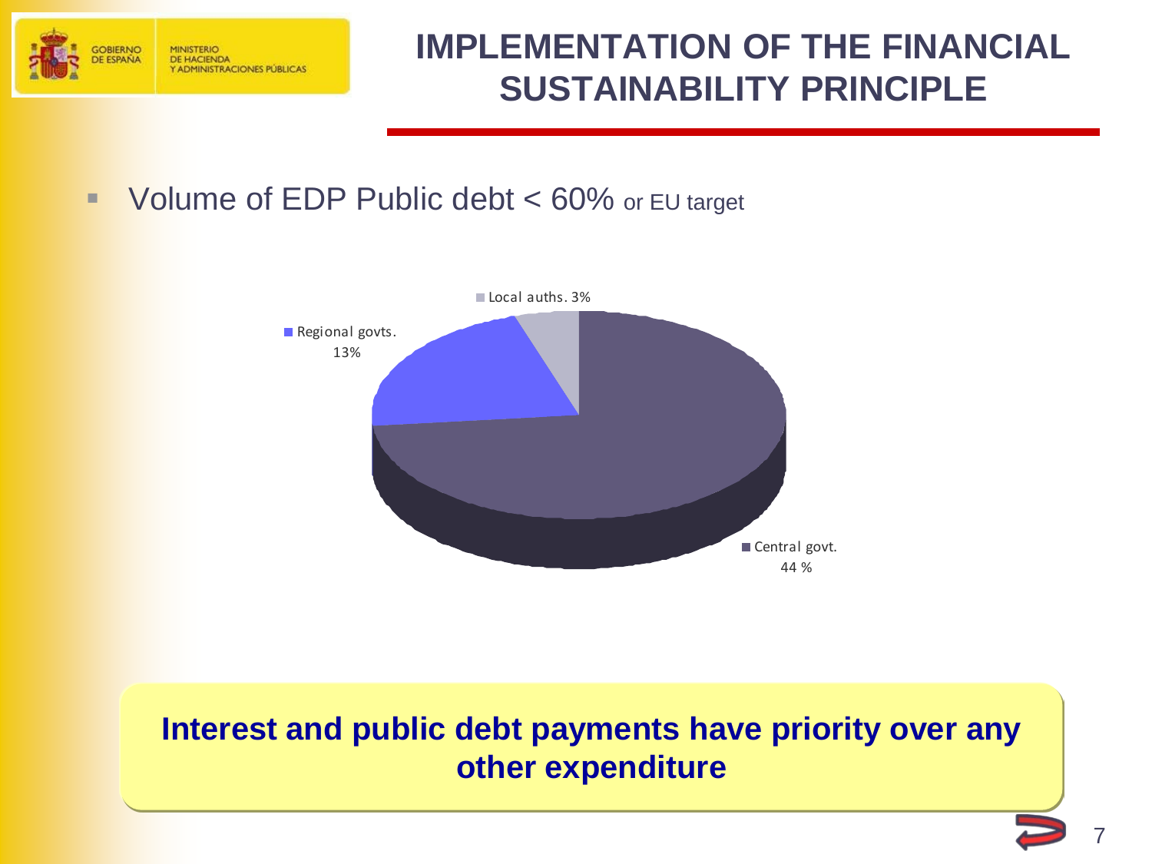<span id="page-6-0"></span>

#### **IMPLEMENTATION OF THE FINANCIAL SUSTAINABILITY PRINCIPLE**

#### ■ Volume of EDP Public debt < 60% or EU target



#### **Interest and public debt payments have priority over any other expenditure**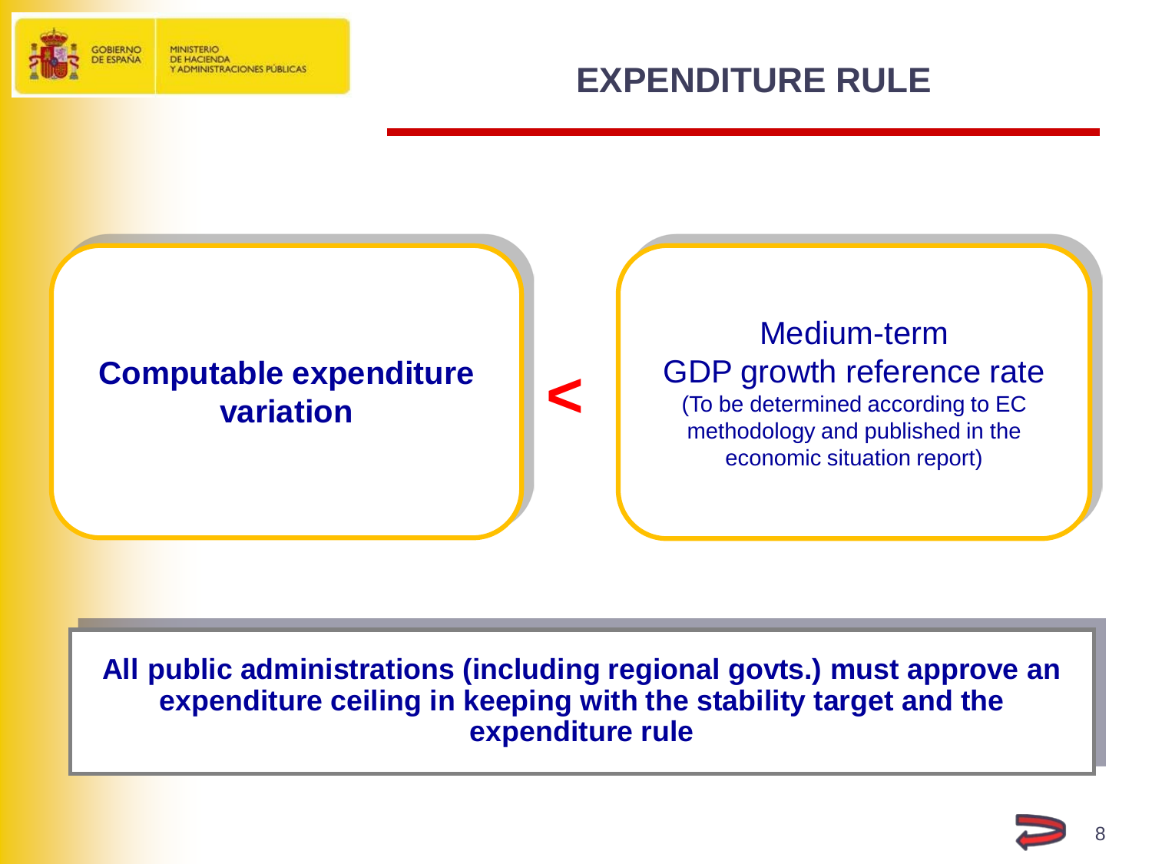<span id="page-7-0"></span>

**DE HACIENDA ADMINISTRACIONES PÚBLICAS** 

#### **EXPENDITURE RULE**



**All public administrations (including regional govts.) must approve an expenditure ceiling in keeping with the stability target and the expenditure rule**

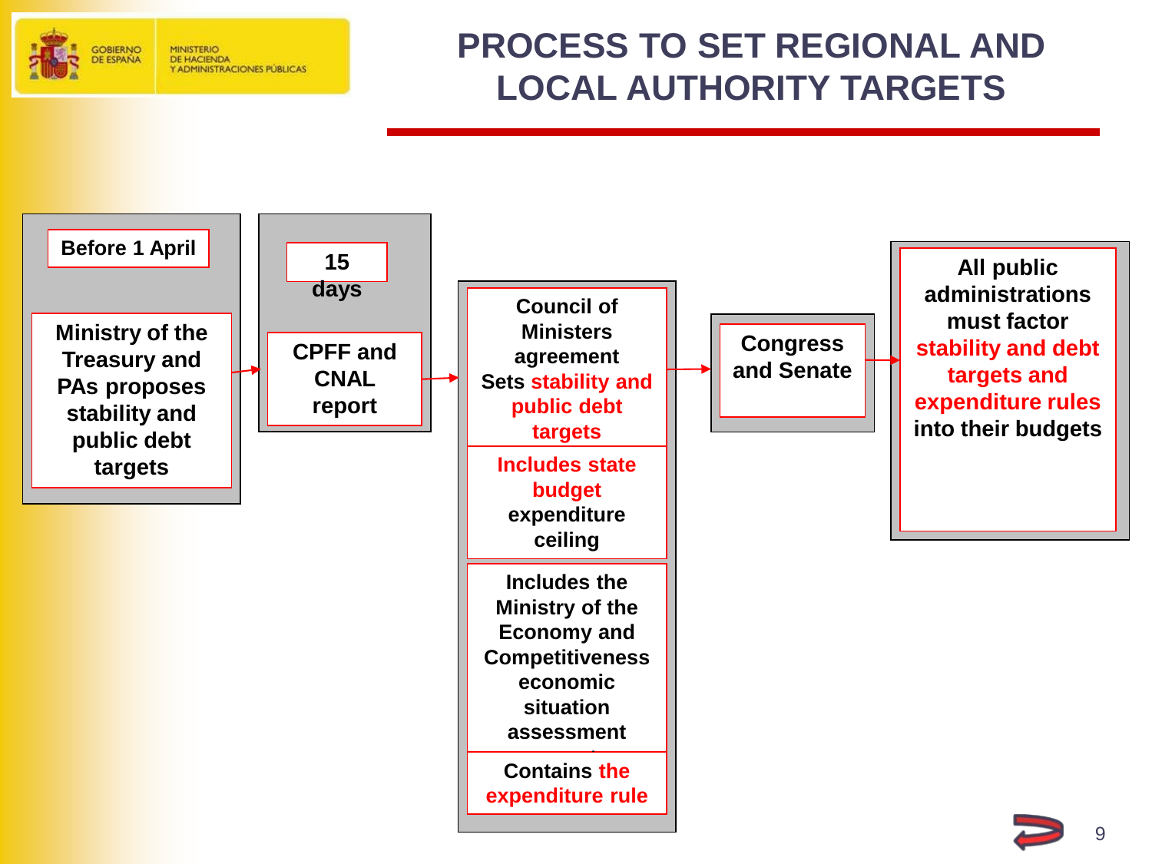<span id="page-8-0"></span>

#### **PROCESS TO SET REGIONAL AND LOCAL AUTHORITY TARGETS**



9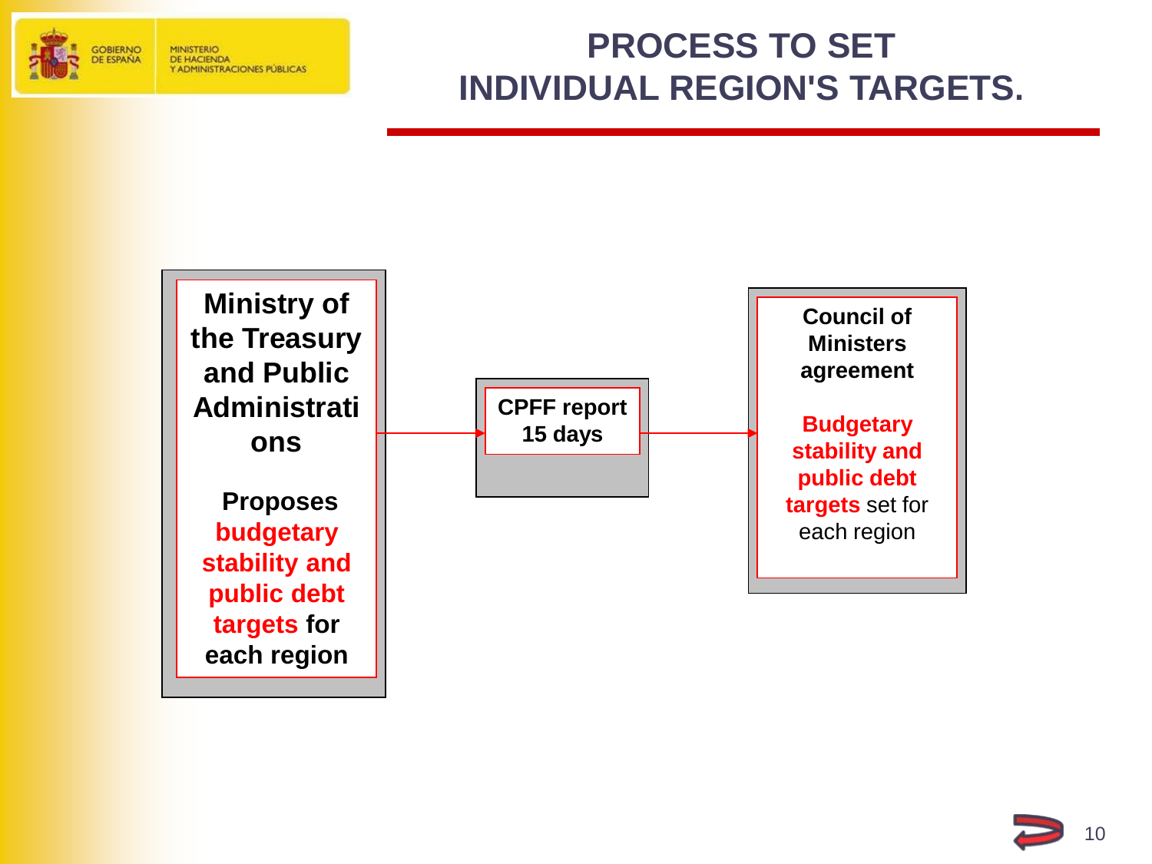

## **PROCESS TO SET INDIVIDUAL REGION'S TARGETS.**



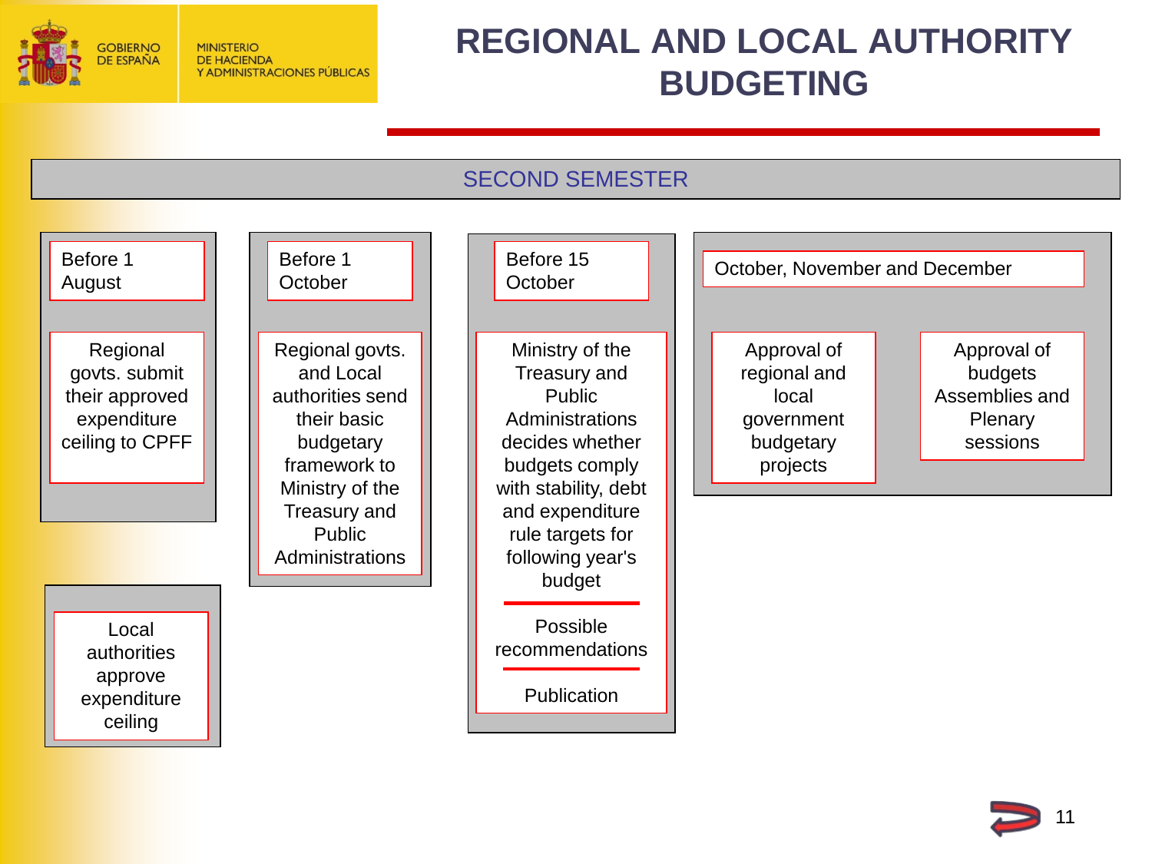<span id="page-10-0"></span>

### **REGIONAL AND LOCAL AUTHORITY BUDGETING**

#### SECOND SEMESTER



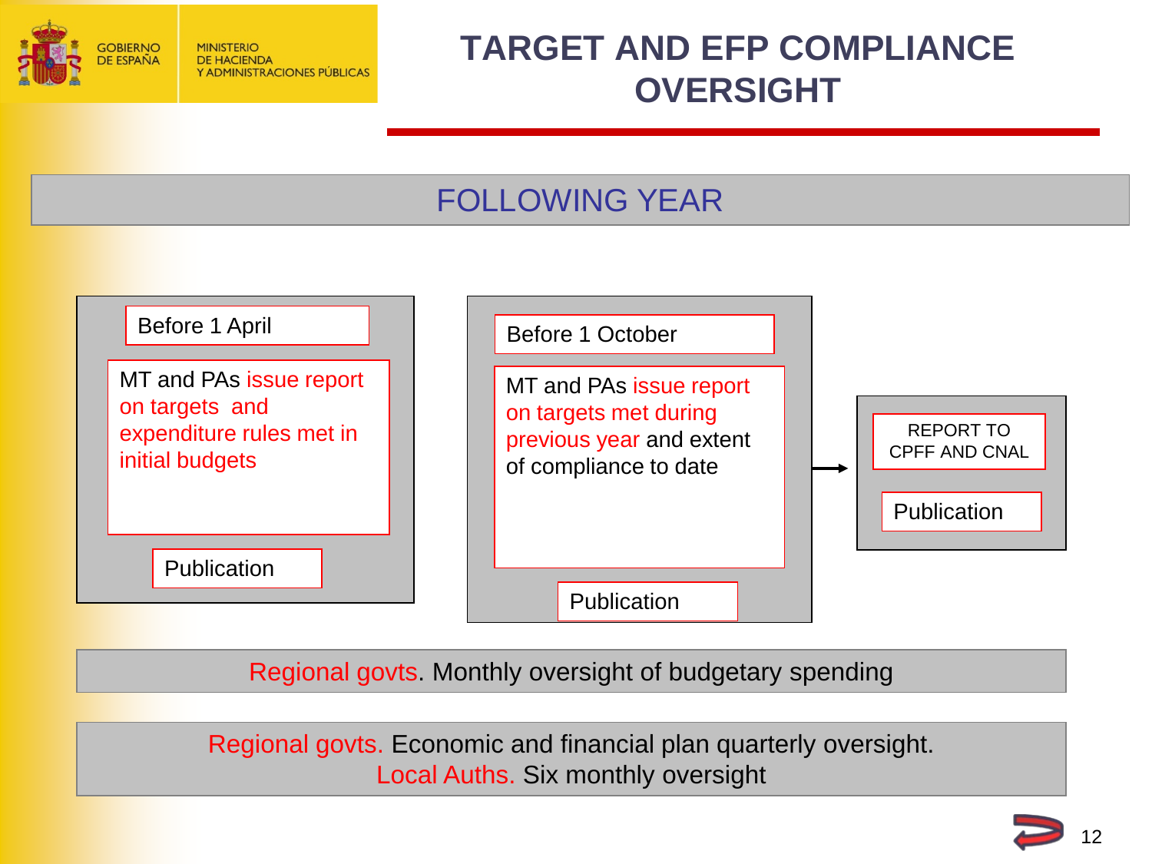<span id="page-11-0"></span>

## **TARGET AND EFP COMPLIANCE OVERSIGHT**

#### FOLLOWING YEAR



Regional govts. Monthly oversight of budgetary spending

Regional govts. Economic and financial plan quarterly oversight. Local Auths. Six monthly oversight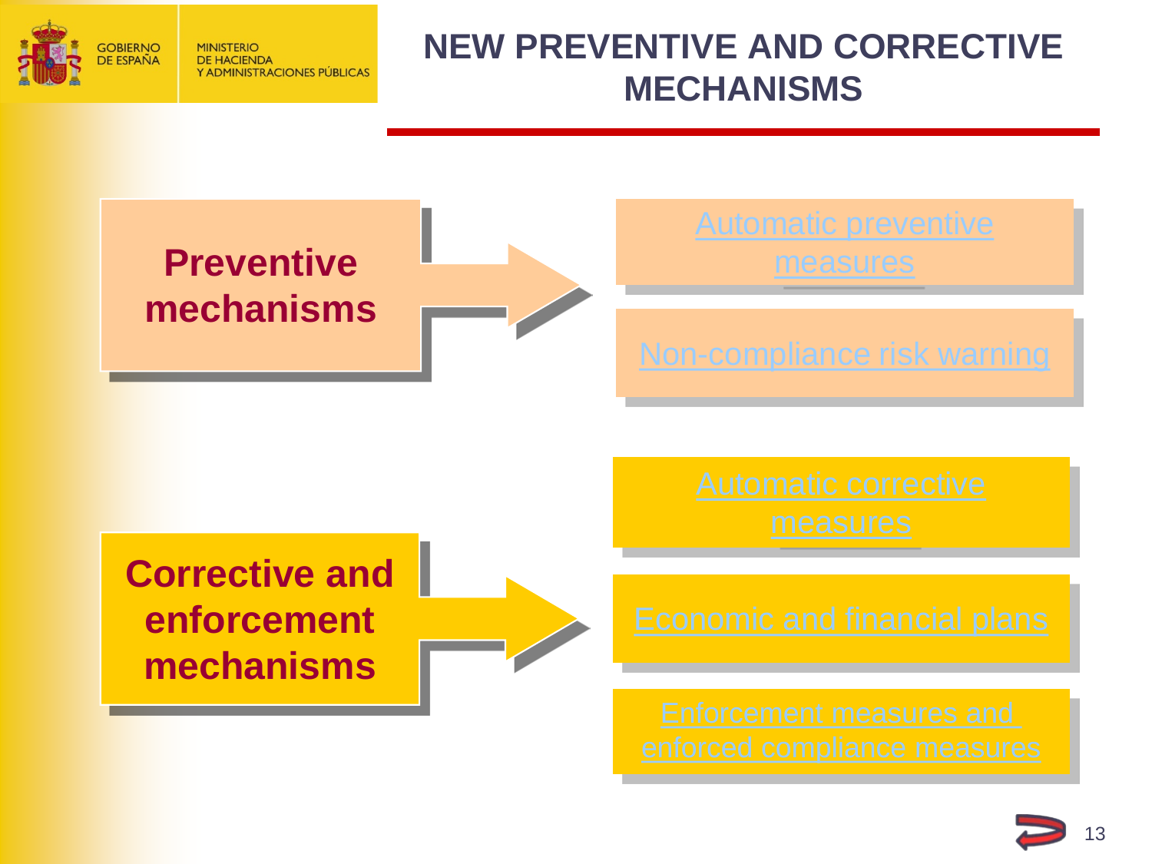<span id="page-12-0"></span>

#### **NEW PREVENTIVE AND CORRECTIVE MECHANISMS**



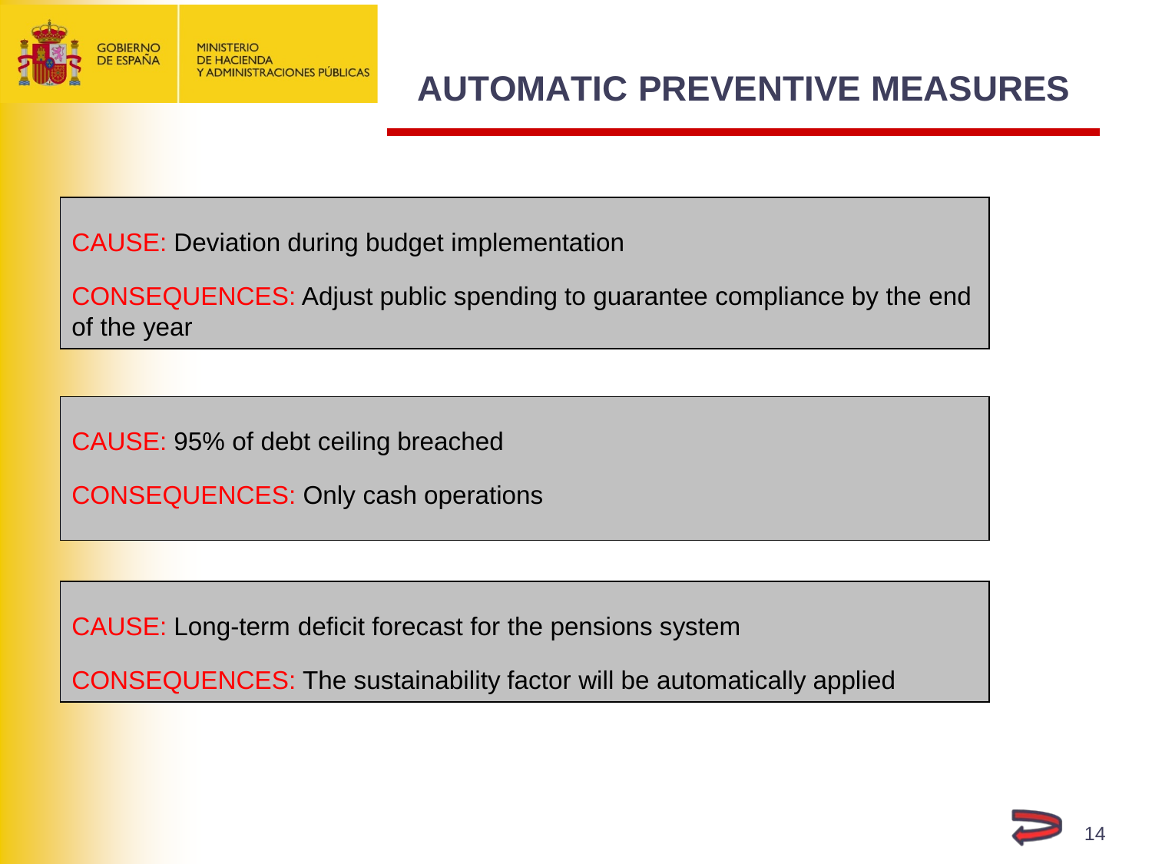<span id="page-13-0"></span>

## **AUTOMATIC PREVENTIVE MEASURES**

CAUSE: Deviation during budget implementation

CONSEQUENCES: Adjust public spending to guarantee compliance by the end of the year

CAUSE: 95% of debt ceiling breached

CONSEQUENCES: Only cash operations

CAUSE: Long-term deficit forecast for the pensions system

CONSEQUENCES: The sustainability factor will be automatically applied

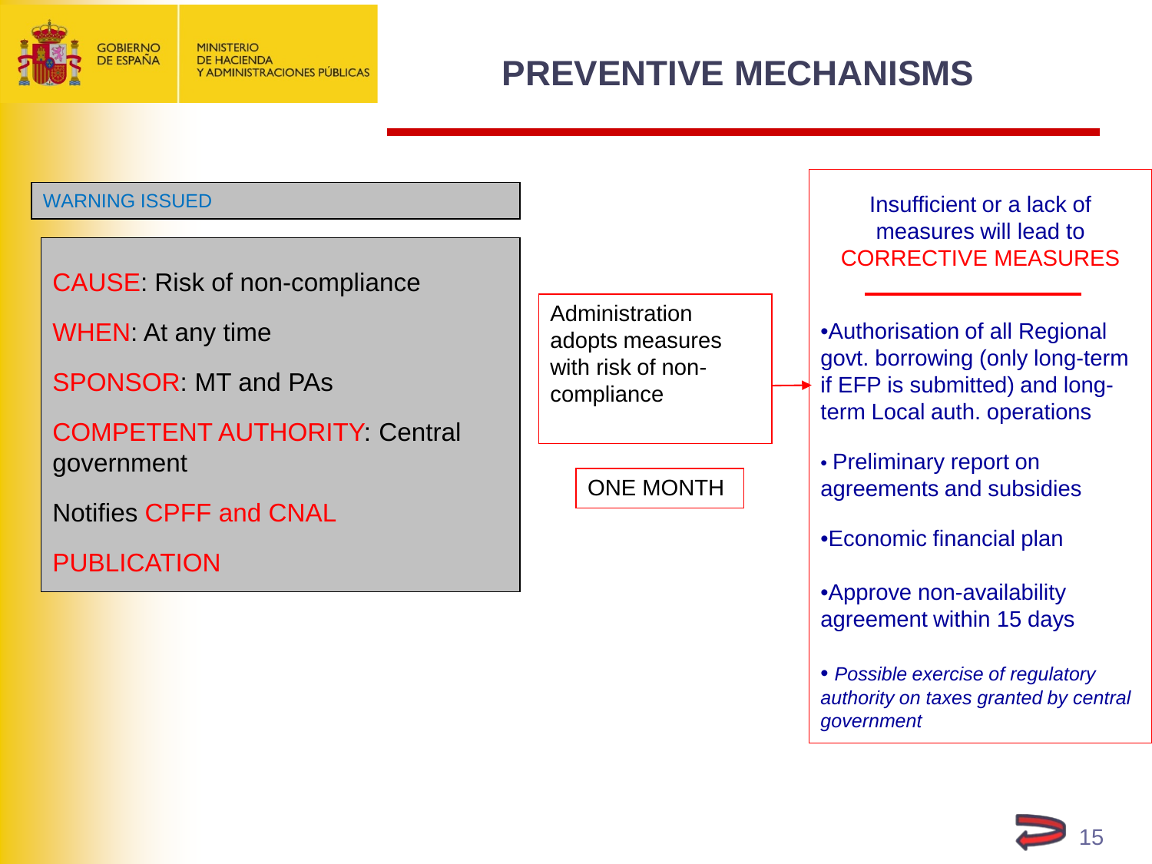<span id="page-14-0"></span>

## **PREVENTIVE MECHANISMS**

#### WARNING ISSUED

CAUSE: Risk of non-compliance

WHEN: At any time

SPONSOR: MT and PAs

COMPETENT AUTHORITY: Central government

Notifies CPFF and CNAL

PUBLICATION

**Administration** adopts measures with risk of noncompliance

ONE MONTH

Insufficient or a lack of measures will lead to CORRECTIVE MEASURES

•Authorisation of all Regional govt. borrowing (only long-term if EFP is submitted) and longterm Local auth. operations

• Preliminary report on agreements and subsidies

•Economic financial plan

•Approve non-availability agreement within 15 days

• *Possible exercise of regulatory authority on taxes granted by central government*

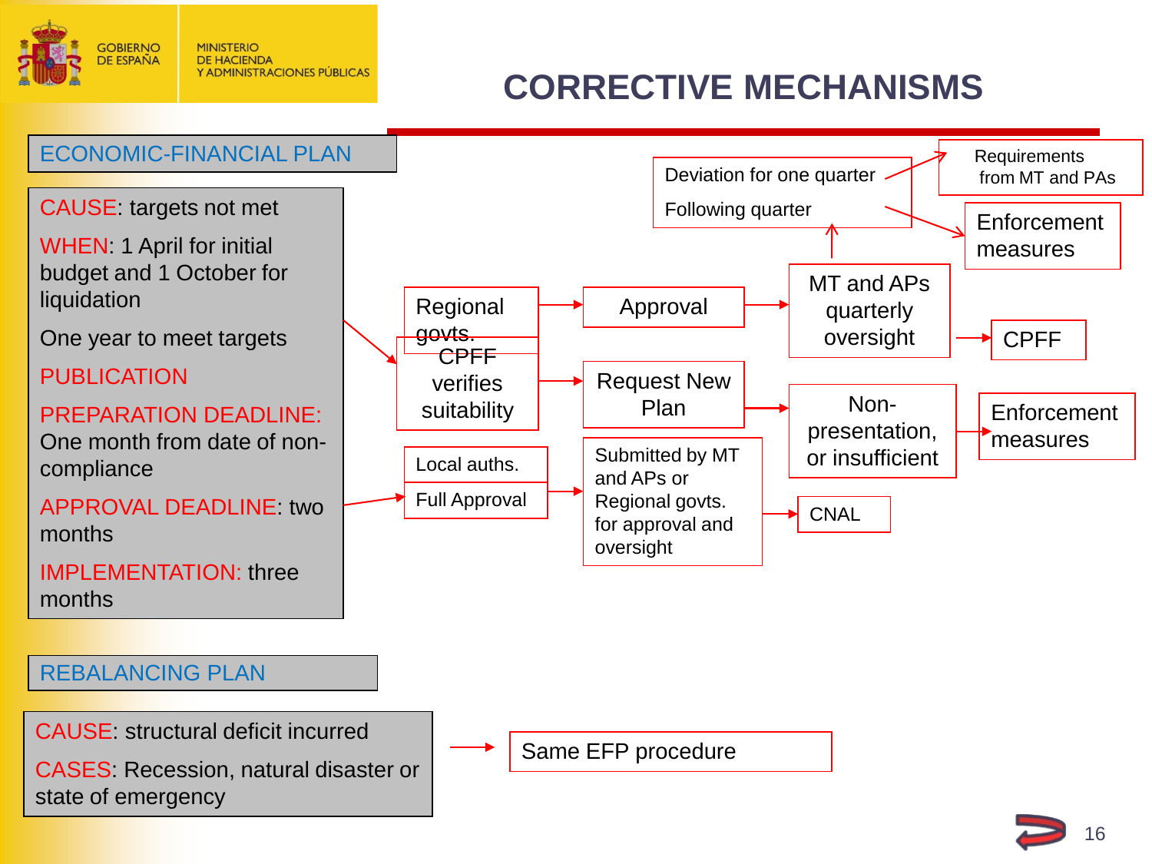<span id="page-15-0"></span>

## **CORRECTIVE MECHANISMS**

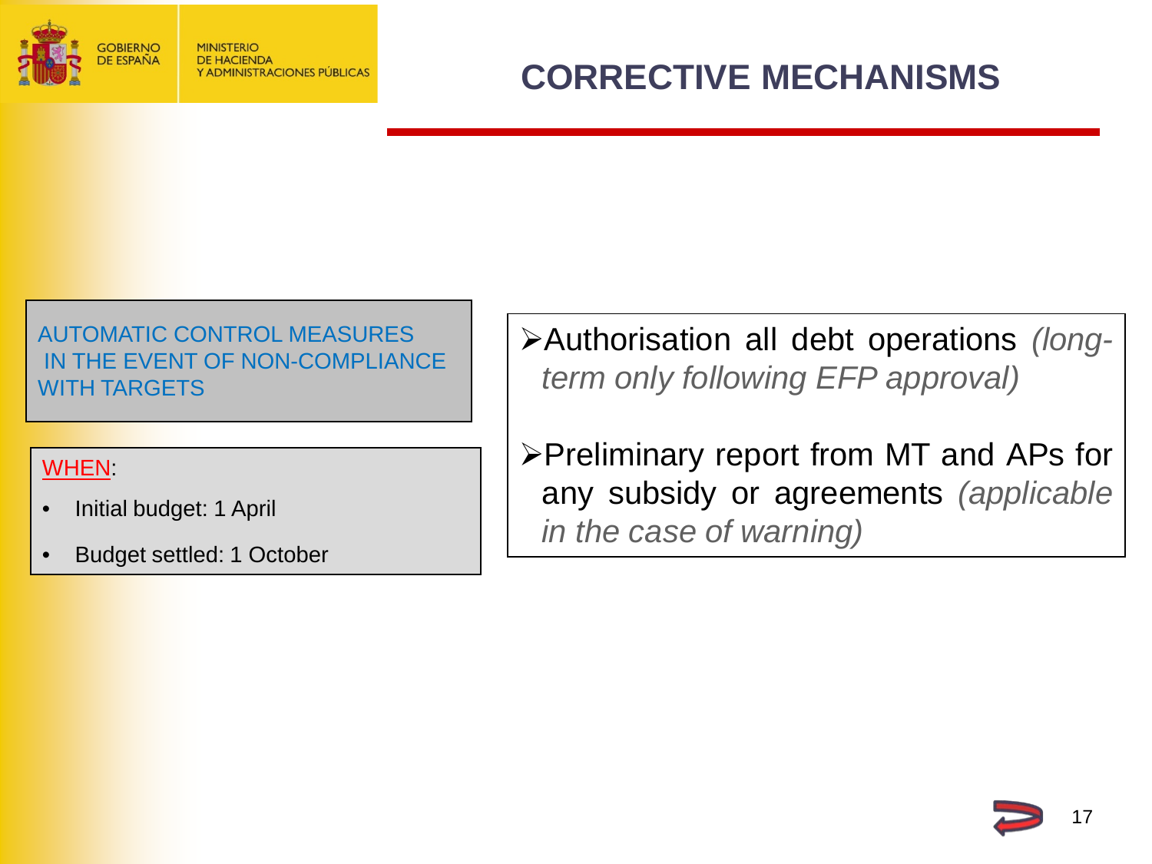<span id="page-16-0"></span>

AUTOMATIC CONTROL MEASURES IN THE EVENT OF NON-COMPLIANCE WITH TARGETS

#### WHEN:

- Initial budget: 1 April
- Budget settled: 1 October

Authorisation all debt operations *(longterm only following EFP approval)*

Preliminary report from MT and APs for any subsidy or agreements *(applicable in the case of warning)*

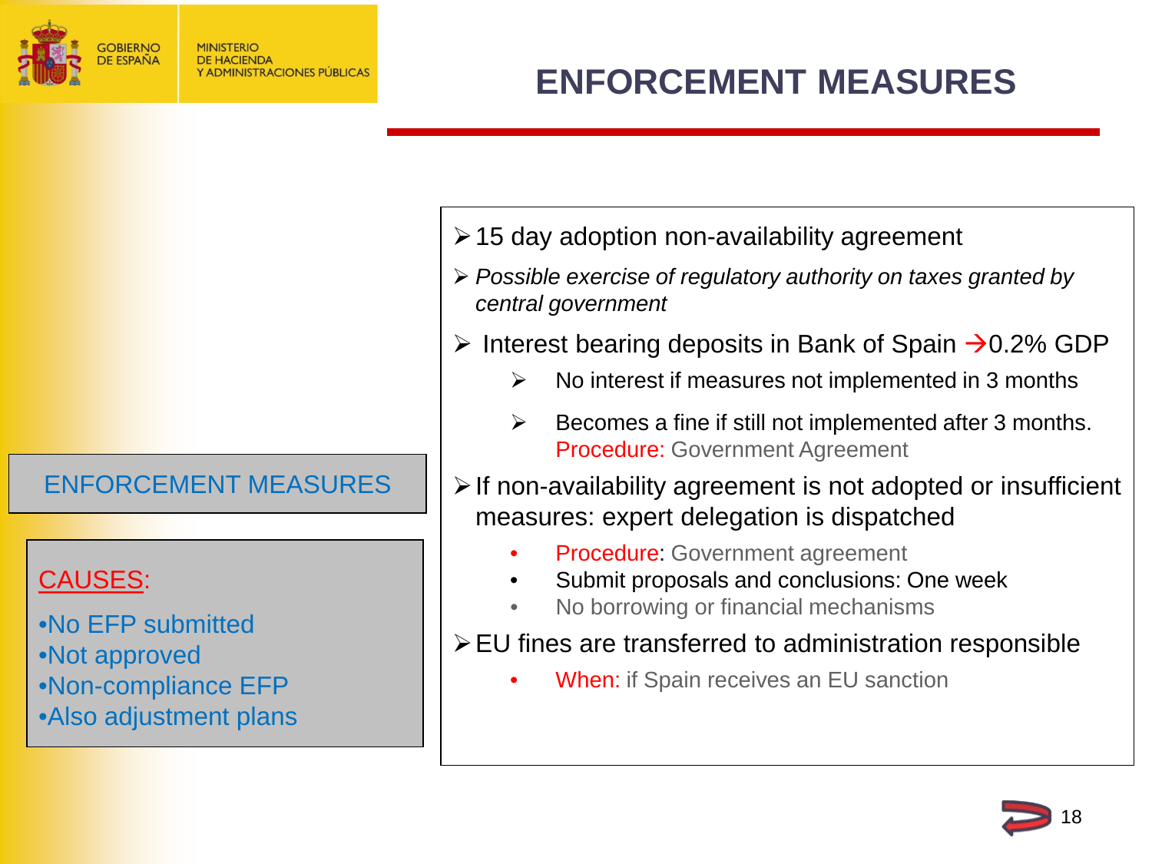<span id="page-17-0"></span>

ENFORCEMENT MEASURES

#### CAUSES:

•No EFP submitted •Not approved •Non-compliance EFP •Also adjustment plans

- $\geq 15$  day adoption non-availability agreement
- *Possible exercise of regulatory authority on taxes granted by central government*
- Interest bearing deposits in Bank of Spain  $\rightarrow$  0.2% GDP
	- $\triangleright$  No interest if measures not implemented in 3 months
	- $\triangleright$  Becomes a fine if still not implemented after 3 months. Procedure: Government Agreement
- $\triangleright$  If non-availability agreement is not adopted or insufficient measures: expert delegation is dispatched
	- **Procedure: Government agreement**
	- Submit proposals and conclusions: One week
	- No borrowing or financial mechanisms
- EU fines are transferred to administration responsible

18

**When:** if Spain receives an EU sanction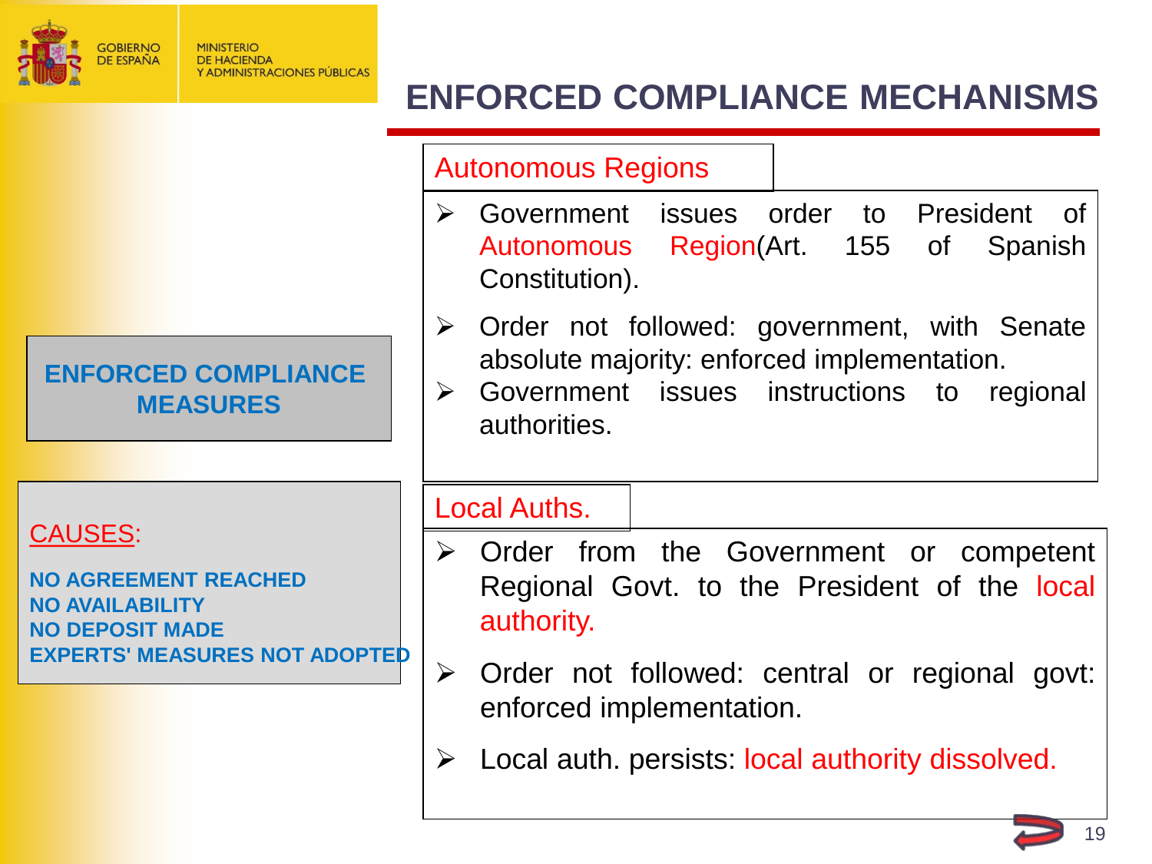<span id="page-18-0"></span>

## **ENFORCED COMPLIANCE MECHANISMS**

#### Autonomous Regions

- Government issues order to President of Autonomous Region(Art. 155 of Spanish Constitution).
- $\triangleright$  Order not followed: government, with Senate absolute majority: enforced implementation.
- $\triangleright$  Government issues instructions to regional authorities.

#### CAUSES:

**NO AGREEMENT REACHED NO AVAILABILITY NO DEPOSIT MADE EXPERTS' MEASURES NOT ADOPTED**

**ENFORCED COMPLIANCE MEASURES**

#### Local Auths.

- $\triangleright$  Order from the Government or competent Regional Govt. to the President of the local authority.
- $\triangleright$  Order not followed: central or regional govt: enforced implementation.
- $\triangleright$  Local auth. persists: local authority dissolved.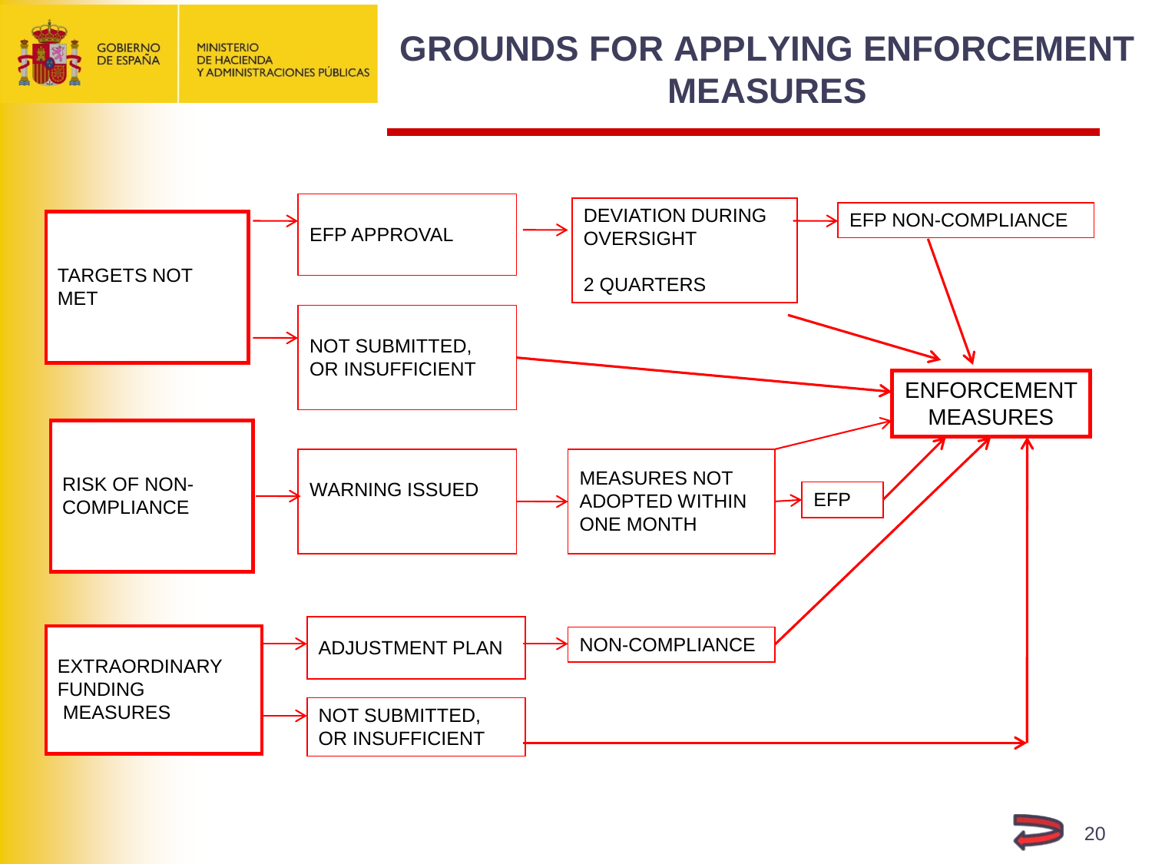<span id="page-19-0"></span>

#### **GROUNDS FOR APPLYING ENFORCEMENT MEASURES**



20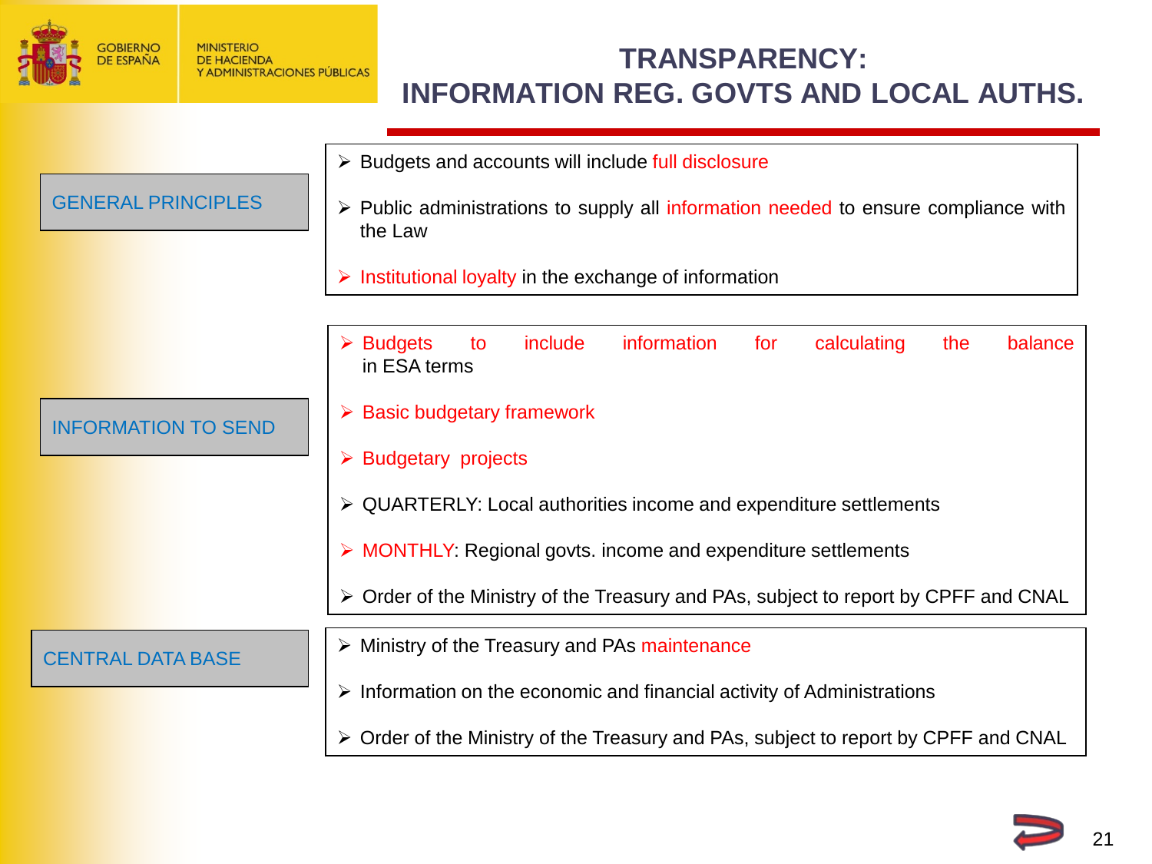<span id="page-20-0"></span>

#### **TRANSPARENCY: INFORMATION REG. GOVTS AND LOCAL AUTHS.**

|                            | > Budgets and accounts will include full disclosure                                                         |
|----------------------------|-------------------------------------------------------------------------------------------------------------|
| <b>GENERAL PRINCIPLES</b>  | > Public administrations to supply all information needed to ensure compliance with<br>the Law              |
|                            | $\triangleright$ Institutional loyalty in the exchange of information                                       |
|                            |                                                                                                             |
|                            | information<br>include<br>calculating<br>balance<br><b>Budgets</b><br>for<br>the<br>to<br>➤<br>in ESA terms |
| <b>INFORMATION TO SEND</b> | $\triangleright$ Basic budgetary framework                                                                  |
|                            | $\triangleright$ Budgetary projects                                                                         |
|                            | $\triangleright$ QUARTERLY: Local authorities income and expenditure settlements                            |
|                            | > MONTHLY: Regional govts. income and expenditure settlements                                               |
|                            | > Order of the Ministry of the Treasury and PAs, subject to report by CPFF and CNAL                         |
| <b>CENTRAL DATA BASE</b>   | $\triangleright$ Ministry of the Treasury and PAs maintenance                                               |
|                            | $\triangleright$ Information on the economic and financial activity of Administrations                      |
|                            | > Order of the Ministry of the Treasury and PAs, subject to report by CPFF and CNAL                         |

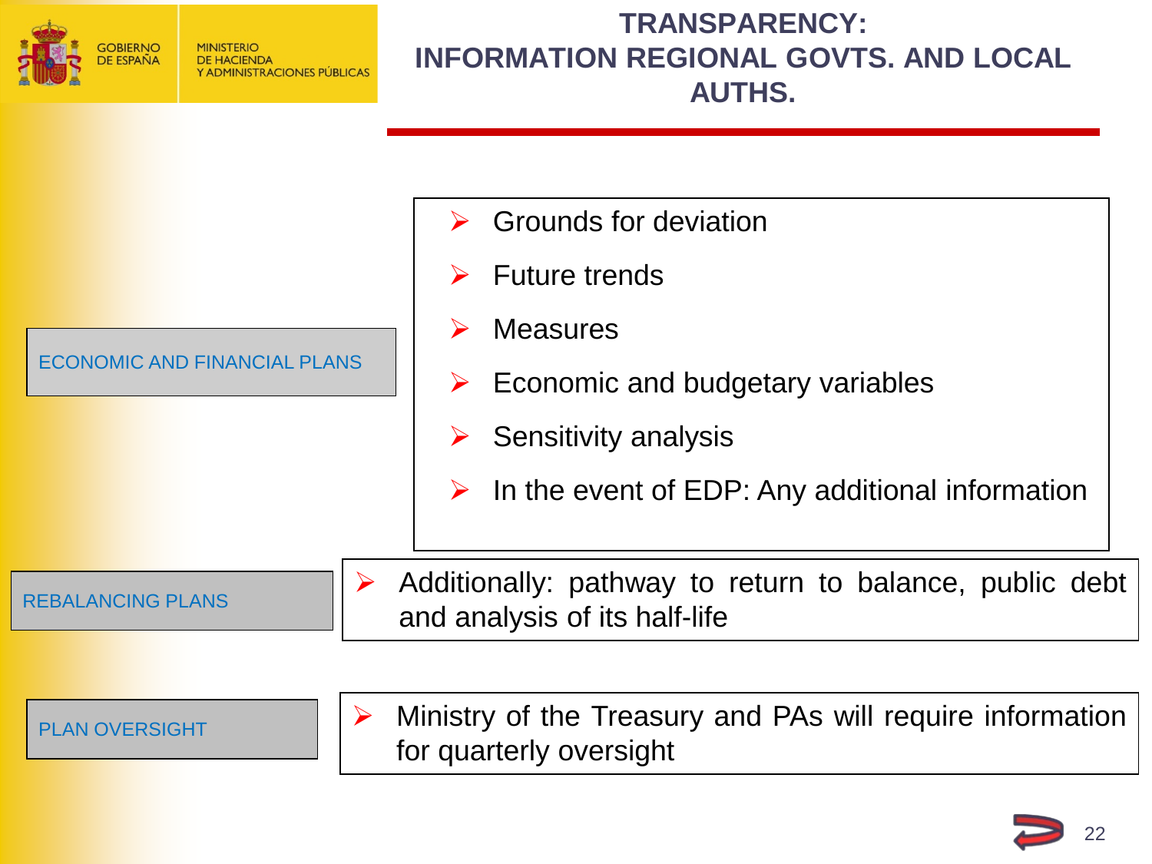<span id="page-21-0"></span>

#### **TRANSPARENCY: INFORMATION REGIONAL GOVTS. AND LOCAL AUTHS.**



**PLAN OVERSIGHT**   $\left| \begin{array}{c} \ \end{array} \right|$  > Ministry of the Treasury and PAs will require information for quarterly oversight

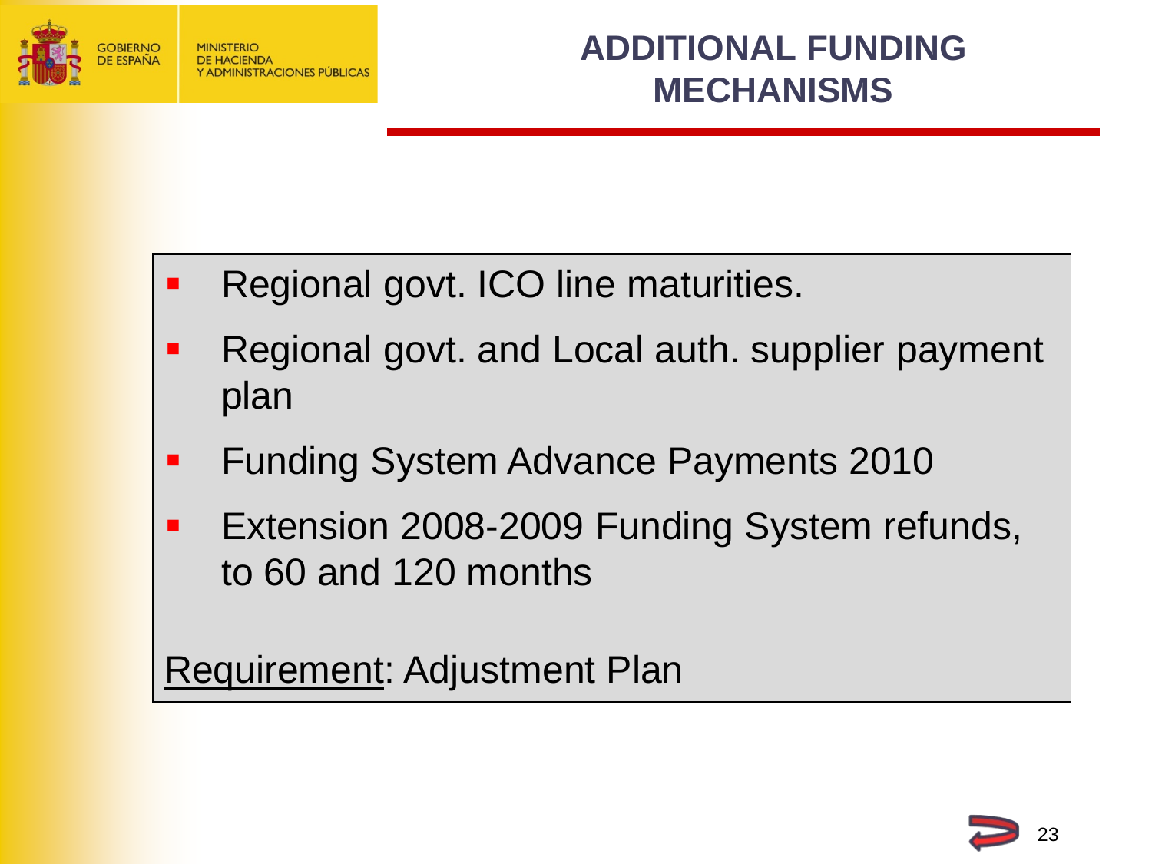<span id="page-22-0"></span>

- Regional govt. ICO line maturities.
- Regional govt. and Local auth. supplier payment plan
- **Funding System Advance Payments 2010**
- **Extension 2008-2009 Funding System refunds,** to 60 and 120 months

Requirement: Adjustment Plan

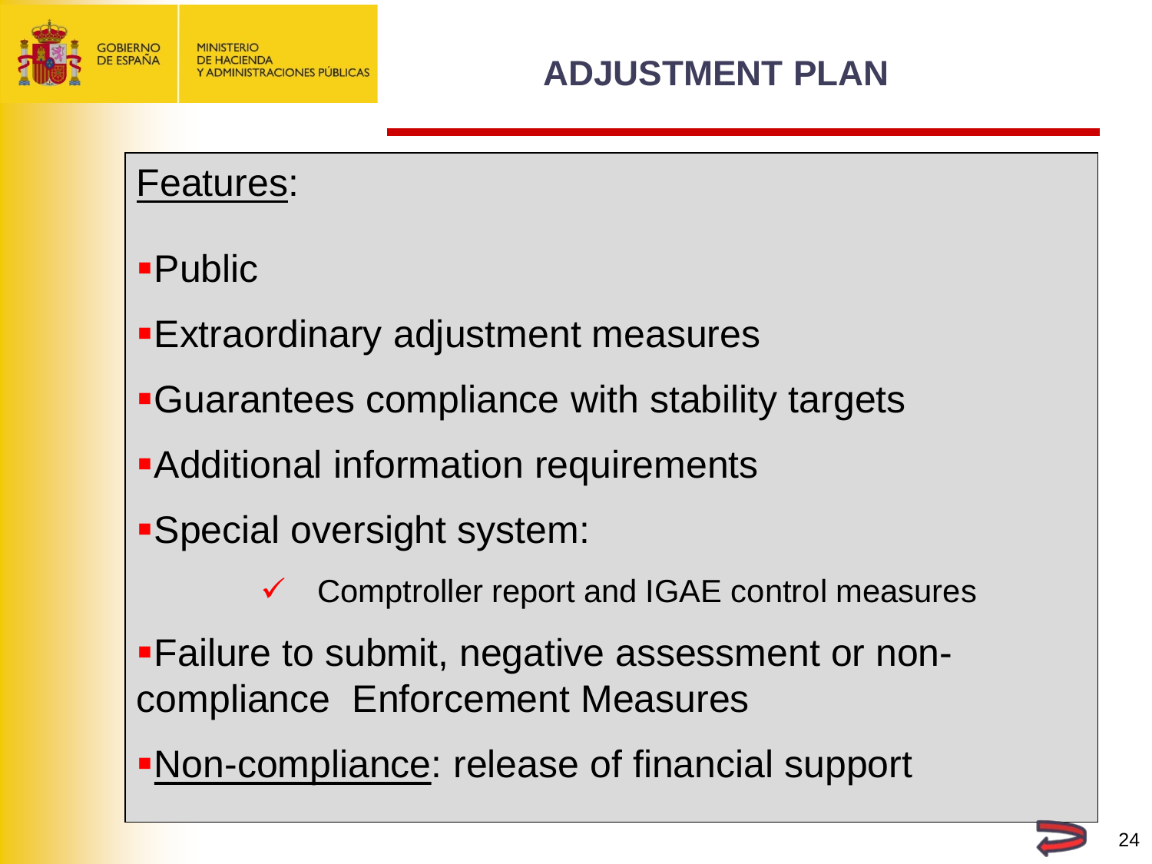<span id="page-23-0"></span>

#### Features:

# Public

- Extraordinary adjustment measures
- Guarantees compliance with stability targets
- Additional information requirements
- Special oversight system:
	- Comptroller report and IGAE control measures
- Failure to submit, negative assessment or noncompliance Enforcement Measures
- Non-compliance: release of financial support